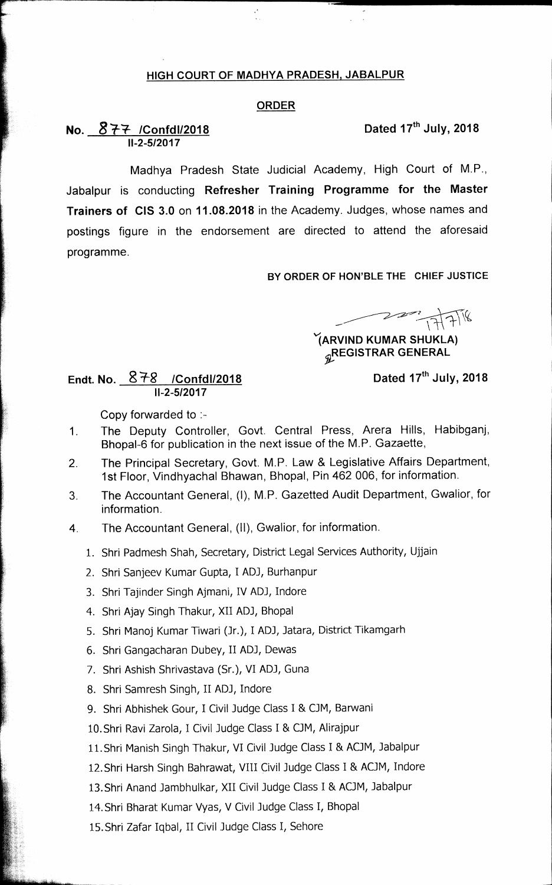### **HIGH COURT OF MADHYA PRADESH, JABALPUR**

### **ORDER**

# **No.**  $877$  /Confdl/2018 **Dated 17<sup>th</sup> July, 2018 11-2-5/2017**

**Madhya Pradesh State Judicial Academy, High Court of M.P., Jabalpur is conducting Refresher Training Programme for the Master Trainers of CIS 3.0 on 11.08.2018 in the Academy. Judges, whose names and postings figure in the endorsement are directed to attend the aforesaid programme.** 

**BY ORDER OF HON'BLE THE CHIEF JUSTICE** 

 $223$   $77718$ 

**IARVIND KUMAR SHUKLA) REGISTRAR GENERAL** 

## Endt. No.  $878$  /Confdl/2018 **Dated 17<sup>th</sup> July, 2018 11-2-5/2017**

**Copy forwarded to :-** 

- **1. The Deputy Controller, Govt. Central Press, Arera Hills, Habibganj, Bhopal-6 for publication in the next issue of the M.P. Gazaette,**
- **2. The Principal Secretary, Govt. M.P. Law & Legislative Affairs Department, 1st Floor, Vindhyachal Bhawan, Bhopal, Pin 462 006, for information.**
- **3. The Accountant General, (I), M.P. Gazetted Audit Department, Gwalior, for information.**
- **4. The Accountant General, (II), Gwalior, for information.** 
	- 1. Shri Padmesh Shah, Secretary, District Legal Services Authority, Ujjain
	- 2. Shri Sanjeev Kumar Gupta, I AD], Burhanpur
	- 3. Shri Tajinder Singh Ajmani, IV ADJ, Indore
	- 4. Shri Ajay Singh Thakur, XII AD], Bhopal
	- 5. Shri Manoj Kumar Tiwari (Jr.), I AD], Jatara, District Tikamgarh
	- 6. Shri Gangacharan Dubey, II AD], Dewas
	- 7. Shri Ashish Shrivastava (Sr.), VI AD], Guna
	- 8. Shri Samresh Singh, II AD], Indore
	- 9. Shri Abhishek Gour, I Civil Judge Class I & OM, Barwani
	- 10.Shri Ravi Zarola, I Civil Judge Class I & CJM, Alirajpur
	- 11.Shri Manish Singh Thakur, VI Civil Judge Class I & ACJM, Jabalpur
	- 12.Shri Harsh Singh Bahrawat, VIII Civil Judge Class I & AOM, Indore
	- 13.Shri Anand Jambhulkar, XII Civil Judge Class I & ACJM, Jabalpur
	- 14.Shri Bharat Kumar Vyas, V Civil Judge Class I, Bhopal
	- 15.Shri Zafar Iqbal, II Civil Judge Class I, Sehore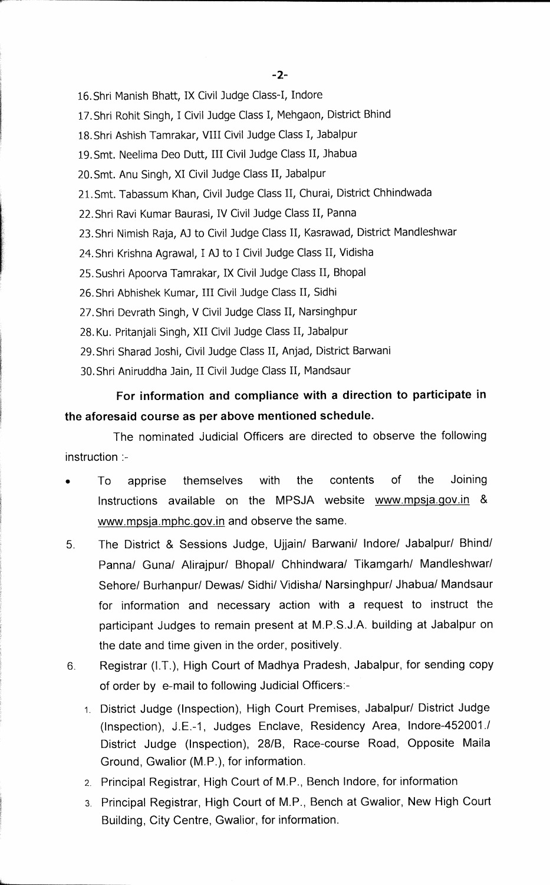16.Shri Manish Bhatt, IX Civil Judge Class-I, Indore

17.Shri Rohit Singh, I Civil Judge Class I, Mehgaon, District Bhind

18.Shri Ashish Tamrakar, VIII Civil Judge Class I, Jabalpur

19.Smt. Neelima Deo Dutt, III Civil Judge Class II, Jhabua

20.Smt. Anu Singh, XI Civil Judge Class II, Jabalpur

21. Smt. Tabassum Khan, Civil Judge Class II, Churai, District Chhindwada

22.Shri Ravi Kumar Baurasi, IV Civil Judge Class II, Parma

23.Shri Nimish Raja, AJ to Civil Judge Class II, Kasrawad, District Mandleshwar

24. Shri Krishna Agrawal, I AJ to I Civil Judge Class II, Vidisha

25.Sushri Apoorva Tamrakar, IX Civil Judge Class II, Bhopal

26.Shri Abhishek Kumar, III Civil Judge Class II, Sidhi

27.Shri Devrath Singh, V Civil Judge Class II, Narsinghpur

28. Ku. Pritanjali Singh, XII Civil Judge Class II, Jabalpur

29.Shri Sharad Joshi, Civil Judge Class II, Anjad, District Barwani

30.Shri Aniruddha Jain, II Civil Judge Class II, Mandsaur

# **For information and compliance with a direction to participate in the aforesaid course as per above mentioned schedule.**

The nominated Judicial Officers are directed to observe the following instruction :-

- To apprise themselves with the contents of the Joining Instructions available on the MPSJA website www.mpsja.gov.in & www.mpsja.mphc.gov.in and observe the same.
- 5. The District & Sessions Judge, Ujjain/ Barwani/ Indore/ Jabalpur/ Bhind/ Panna/ Guna/ Alirajpur/ Bhopal/ Chhindwara/ Tikamgarh/ Mandleshwar/ Sehore/ Burhanpur/ Dewas/ Sidhi/ Vidisha/ Narsinghpur/ Jhabua/ Mandsaur for information and necessary action with a request to instruct the participant Judges to remain present at M.P.S.J.A. building at Jabalpur on the date and time given in the order, positively.
- 6 Registrar (I.T.), High Court of Madhya Pradesh, Jabalpur, for sending copy of order by e-mail to following Judicial Officers:-
	- 1. District Judge (inspection), High Court Premises, Jabalpur/ District Judge (Inspection), J.E.-1, Judges Enclave, Residency Area, Indore-452001.1 District Judge (Inspection), 28/B, Race-course Road, Opposite Maila Ground, Gwalior (M.P.), for information.
	- 2. Principal Registrar, High Court of M.P., Bench Indore, for information
	- 3. Principal Registrar, High Court of M.P., Bench at Gwalior, New High Court Building, City Centre, Gwalior, for information.